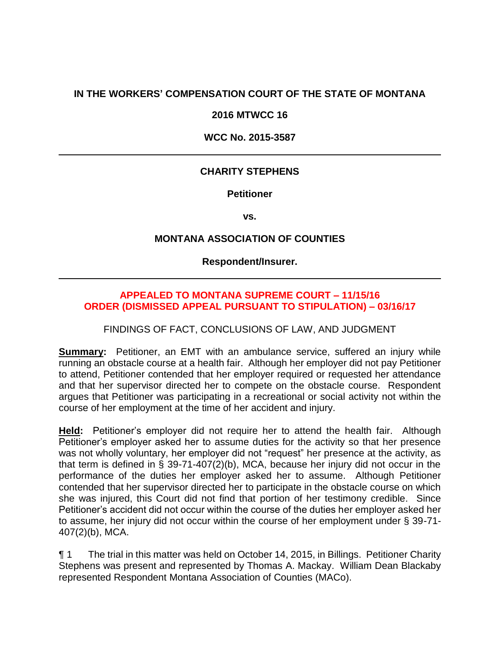# **IN THE WORKERS' COMPENSATION COURT OF THE STATE OF MONTANA**

#### **2016 MTWCC 16**

#### **WCC No. 2015-3587**

## **CHARITY STEPHENS**

**Petitioner**

**vs.**

## **MONTANA ASSOCIATION OF COUNTIES**

**Respondent/Insurer.**

## **APPEALED TO MONTANA SUPREME COURT – 11/15/16 ORDER (DISMISSED APPEAL PURSUANT TO STIPULATION) – 03/16/17**

FINDINGS OF FACT, CONCLUSIONS OF LAW, AND JUDGMENT

**Summary:** Petitioner, an EMT with an ambulance service, suffered an injury while running an obstacle course at a health fair. Although her employer did not pay Petitioner to attend, Petitioner contended that her employer required or requested her attendance and that her supervisor directed her to compete on the obstacle course. Respondent argues that Petitioner was participating in a recreational or social activity not within the course of her employment at the time of her accident and injury.

**Held:** Petitioner's employer did not require her to attend the health fair. Although Petitioner's employer asked her to assume duties for the activity so that her presence was not wholly voluntary, her employer did not "request" her presence at the activity, as that term is defined in § 39-71-407(2)(b), MCA, because her injury did not occur in the performance of the duties her employer asked her to assume. Although Petitioner contended that her supervisor directed her to participate in the obstacle course on which she was injured, this Court did not find that portion of her testimony credible. Since Petitioner's accident did not occur within the course of the duties her employer asked her to assume, her injury did not occur within the course of her employment under § 39-71- 407(2)(b), MCA.

¶ 1 The trial in this matter was held on October 14, 2015, in Billings. Petitioner Charity Stephens was present and represented by Thomas A. Mackay. William Dean Blackaby represented Respondent Montana Association of Counties (MACo).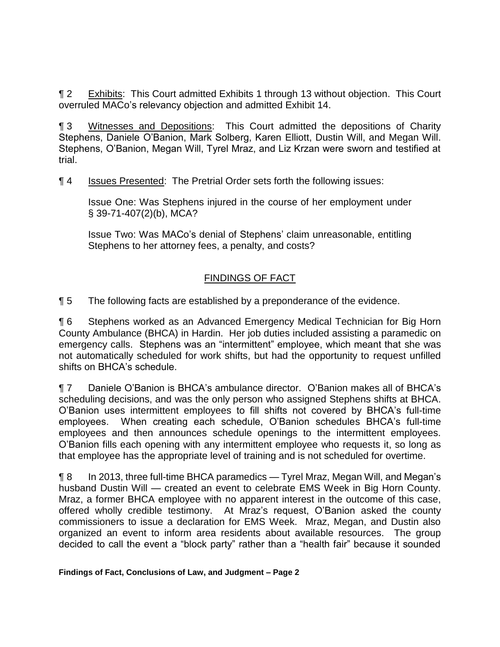¶ 2 Exhibits: This Court admitted Exhibits 1 through 13 without objection. This Court overruled MACo's relevancy objection and admitted Exhibit 14.

¶ 3 Witnesses and Depositions: This Court admitted the depositions of Charity Stephens, Daniele O'Banion, Mark Solberg, Karen Elliott, Dustin Will, and Megan Will. Stephens, O'Banion, Megan Will, Tyrel Mraz, and Liz Krzan were sworn and testified at trial.

¶ 4 Issues Presented: The Pretrial Order sets forth the following issues:

Issue One: Was Stephens injured in the course of her employment under § 39-71-407(2)(b), MCA?

Issue Two: Was MACo's denial of Stephens' claim unreasonable, entitling Stephens to her attorney fees, a penalty, and costs?

# FINDINGS OF FACT

¶ 5 The following facts are established by a preponderance of the evidence.

¶ 6 Stephens worked as an Advanced Emergency Medical Technician for Big Horn County Ambulance (BHCA) in Hardin. Her job duties included assisting a paramedic on emergency calls. Stephens was an "intermittent" employee, which meant that she was not automatically scheduled for work shifts, but had the opportunity to request unfilled shifts on BHCA's schedule.

¶ 7 Daniele O'Banion is BHCA's ambulance director. O'Banion makes all of BHCA's scheduling decisions, and was the only person who assigned Stephens shifts at BHCA. O'Banion uses intermittent employees to fill shifts not covered by BHCA's full-time employees. When creating each schedule, O'Banion schedules BHCA's full-time employees and then announces schedule openings to the intermittent employees. O'Banion fills each opening with any intermittent employee who requests it, so long as that employee has the appropriate level of training and is not scheduled for overtime.

¶ 8 In 2013, three full-time BHCA paramedics — Tyrel Mraz, Megan Will, and Megan's husband Dustin Will — created an event to celebrate EMS Week in Big Horn County. Mraz, a former BHCA employee with no apparent interest in the outcome of this case, offered wholly credible testimony. At Mraz's request, O'Banion asked the county commissioners to issue a declaration for EMS Week. Mraz, Megan, and Dustin also organized an event to inform area residents about available resources. The group decided to call the event a "block party" rather than a "health fair" because it sounded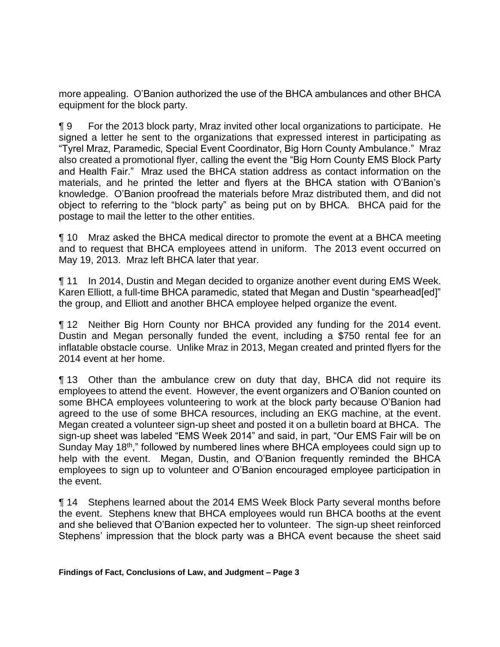more appealing. O'Banion authorized the use of the BHCA ambulances and other BHCA equipment for the block party.

¶ 9 For the 2013 block party, Mraz invited other local organizations to participate. He signed a letter he sent to the organizations that expressed interest in participating as "Tyrel Mraz, Paramedic, Special Event Coordinator, Big Horn County Ambulance." Mraz also created a promotional flyer, calling the event the "Big Horn County EMS Block Party and Health Fair." Mraz used the BHCA station address as contact information on the materials, and he printed the letter and flyers at the BHCA station with O'Banion's knowledge. O'Banion proofread the materials before Mraz distributed them, and did not object to referring to the "block party" as being put on by BHCA. BHCA paid for the postage to mail the letter to the other entities.

¶ 10 Mraz asked the BHCA medical director to promote the event at a BHCA meeting and to request that BHCA employees attend in uniform. The 2013 event occurred on May 19, 2013. Mraz left BHCA later that year.

¶ 11 In 2014, Dustin and Megan decided to organize another event during EMS Week. Karen Elliott, a full-time BHCA paramedic, stated that Megan and Dustin "spearhead[ed]" the group, and Elliott and another BHCA employee helped organize the event.

¶ 12 Neither Big Horn County nor BHCA provided any funding for the 2014 event. Dustin and Megan personally funded the event, including a \$750 rental fee for an inflatable obstacle course. Unlike Mraz in 2013, Megan created and printed flyers for the 2014 event at her home.

¶ 13 Other than the ambulance crew on duty that day, BHCA did not require its employees to attend the event. However, the event organizers and O'Banion counted on some BHCA employees volunteering to work at the block party because O'Banion had agreed to the use of some BHCA resources, including an EKG machine, at the event. Megan created a volunteer sign-up sheet and posted it on a bulletin board at BHCA. The sign-up sheet was labeled "EMS Week 2014" and said, in part, "Our EMS Fair will be on Sunday May 18<sup>th</sup>," followed by numbered lines where BHCA employees could sign up to help with the event. Megan, Dustin, and O'Banion frequently reminded the BHCA employees to sign up to volunteer and O'Banion encouraged employee participation in the event.

¶ 14 Stephens learned about the 2014 EMS Week Block Party several months before the event. Stephens knew that BHCA employees would run BHCA booths at the event and she believed that O'Banion expected her to volunteer. The sign-up sheet reinforced Stephens' impression that the block party was a BHCA event because the sheet said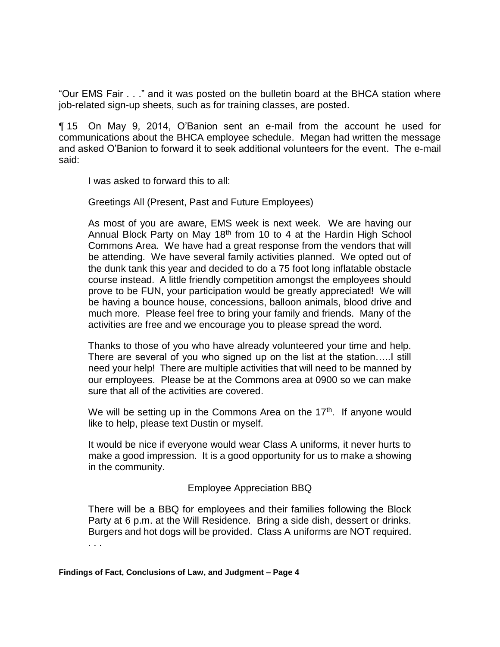"Our EMS Fair . . ." and it was posted on the bulletin board at the BHCA station where job-related sign-up sheets, such as for training classes, are posted.

¶ 15 On May 9, 2014, O'Banion sent an e-mail from the account he used for communications about the BHCA employee schedule. Megan had written the message and asked O'Banion to forward it to seek additional volunteers for the event. The e-mail said:

I was asked to forward this to all:

Greetings All (Present, Past and Future Employees)

As most of you are aware, EMS week is next week. We are having our Annual Block Party on May  $18<sup>th</sup>$  from 10 to 4 at the Hardin High School Commons Area. We have had a great response from the vendors that will be attending. We have several family activities planned. We opted out of the dunk tank this year and decided to do a 75 foot long inflatable obstacle course instead. A little friendly competition amongst the employees should prove to be FUN, your participation would be greatly appreciated! We will be having a bounce house, concessions, balloon animals, blood drive and much more. Please feel free to bring your family and friends. Many of the activities are free and we encourage you to please spread the word.

Thanks to those of you who have already volunteered your time and help. There are several of you who signed up on the list at the station…..I still need your help! There are multiple activities that will need to be manned by our employees. Please be at the Commons area at 0900 so we can make sure that all of the activities are covered.

We will be setting up in the Commons Area on the  $17<sup>th</sup>$ . If anyone would like to help, please text Dustin or myself.

It would be nice if everyone would wear Class A uniforms, it never hurts to make a good impression. It is a good opportunity for us to make a showing in the community.

## Employee Appreciation BBQ

There will be a BBQ for employees and their families following the Block Party at 6 p.m. at the Will Residence. Bring a side dish, dessert or drinks. Burgers and hot dogs will be provided. Class A uniforms are NOT required. . . .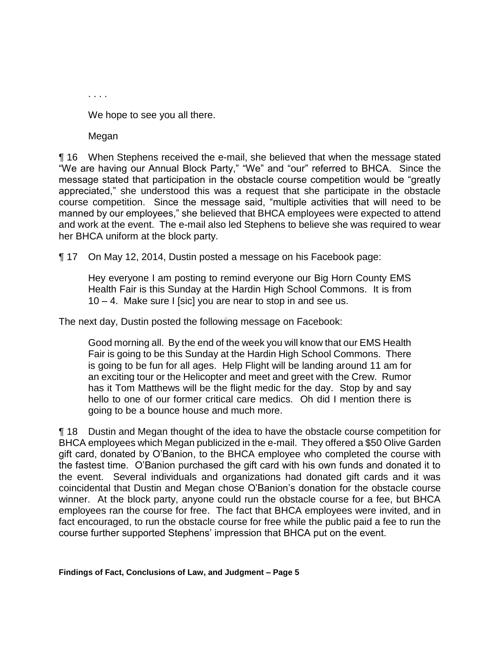We hope to see you all there.

Megan

. . . .

¶ 16 When Stephens received the e-mail, she believed that when the message stated "We are having our Annual Block Party," "We" and "our" referred to BHCA. Since the message stated that participation in the obstacle course competition would be "greatly appreciated," she understood this was a request that she participate in the obstacle course competition. Since the message said, "multiple activities that will need to be manned by our employees," she believed that BHCA employees were expected to attend and work at the event. The e-mail also led Stephens to believe she was required to wear her BHCA uniform at the block party.

¶ 17 On May 12, 2014, Dustin posted a message on his Facebook page:

Hey everyone I am posting to remind everyone our Big Horn County EMS Health Fair is this Sunday at the Hardin High School Commons. It is from 10 – 4. Make sure I [sic] you are near to stop in and see us.

The next day, Dustin posted the following message on Facebook:

Good morning all. By the end of the week you will know that our EMS Health Fair is going to be this Sunday at the Hardin High School Commons. There is going to be fun for all ages. Help Flight will be landing around 11 am for an exciting tour or the Helicopter and meet and greet with the Crew. Rumor has it Tom Matthews will be the flight medic for the day. Stop by and say hello to one of our former critical care medics. Oh did I mention there is going to be a bounce house and much more.

¶ 18 Dustin and Megan thought of the idea to have the obstacle course competition for BHCA employees which Megan publicized in the e-mail. They offered a \$50 Olive Garden gift card, donated by O'Banion, to the BHCA employee who completed the course with the fastest time. O'Banion purchased the gift card with his own funds and donated it to the event. Several individuals and organizations had donated gift cards and it was coincidental that Dustin and Megan chose O'Banion's donation for the obstacle course winner. At the block party, anyone could run the obstacle course for a fee, but BHCA employees ran the course for free. The fact that BHCA employees were invited, and in fact encouraged, to run the obstacle course for free while the public paid a fee to run the course further supported Stephens' impression that BHCA put on the event.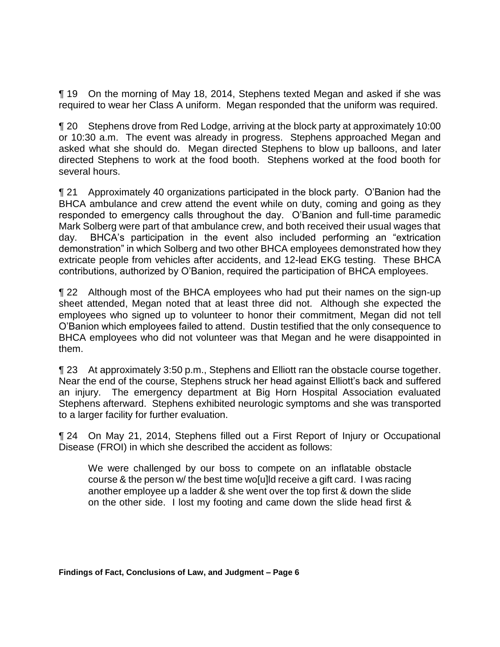¶ 19 On the morning of May 18, 2014, Stephens texted Megan and asked if she was required to wear her Class A uniform. Megan responded that the uniform was required.

¶ 20 Stephens drove from Red Lodge, arriving at the block party at approximately 10:00 or 10:30 a.m. The event was already in progress. Stephens approached Megan and asked what she should do. Megan directed Stephens to blow up balloons, and later directed Stephens to work at the food booth. Stephens worked at the food booth for several hours.

¶ 21 Approximately 40 organizations participated in the block party. O'Banion had the BHCA ambulance and crew attend the event while on duty, coming and going as they responded to emergency calls throughout the day. O'Banion and full-time paramedic Mark Solberg were part of that ambulance crew, and both received their usual wages that day. BHCA's participation in the event also included performing an "extrication demonstration" in which Solberg and two other BHCA employees demonstrated how they extricate people from vehicles after accidents, and 12-lead EKG testing. These BHCA contributions, authorized by O'Banion, required the participation of BHCA employees.

¶ 22 Although most of the BHCA employees who had put their names on the sign-up sheet attended, Megan noted that at least three did not. Although she expected the employees who signed up to volunteer to honor their commitment, Megan did not tell O'Banion which employees failed to attend. Dustin testified that the only consequence to BHCA employees who did not volunteer was that Megan and he were disappointed in them.

¶ 23 At approximately 3:50 p.m., Stephens and Elliott ran the obstacle course together. Near the end of the course, Stephens struck her head against Elliott's back and suffered an injury. The emergency department at Big Horn Hospital Association evaluated Stephens afterward. Stephens exhibited neurologic symptoms and she was transported to a larger facility for further evaluation.

¶ 24 On May 21, 2014, Stephens filled out a First Report of Injury or Occupational Disease (FROI) in which she described the accident as follows:

We were challenged by our boss to compete on an inflatable obstacle course & the person w/ the best time wo[u]ld receive a gift card. I was racing another employee up a ladder & she went over the top first & down the slide on the other side. I lost my footing and came down the slide head first &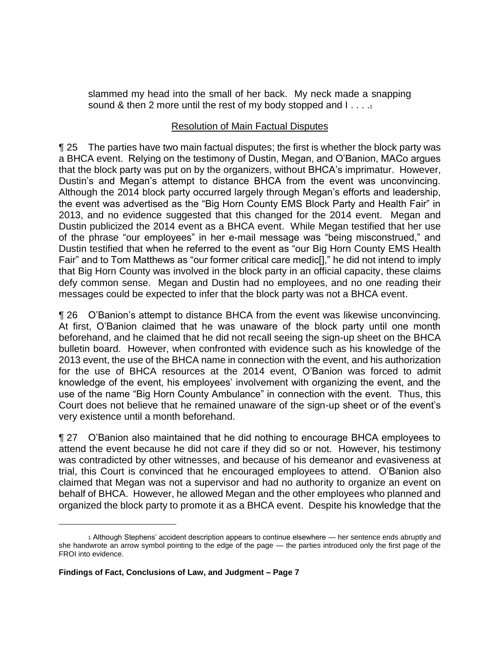slammed my head into the small of her back. My neck made a snapping sound & then 2 more until the rest of my body stopped and  $1 \ldots 1$ 

# Resolution of Main Factual Disputes

¶ 25 The parties have two main factual disputes; the first is whether the block party was a BHCA event. Relying on the testimony of Dustin, Megan, and O'Banion, MACo argues that the block party was put on by the organizers, without BHCA's imprimatur. However, Dustin's and Megan's attempt to distance BHCA from the event was unconvincing. Although the 2014 block party occurred largely through Megan's efforts and leadership, the event was advertised as the "Big Horn County EMS Block Party and Health Fair" in 2013, and no evidence suggested that this changed for the 2014 event. Megan and Dustin publicized the 2014 event as a BHCA event. While Megan testified that her use of the phrase "our employees" in her e-mail message was "being misconstrued," and Dustin testified that when he referred to the event as "our Big Horn County EMS Health Fair" and to Tom Matthews as "our former critical care medic[]," he did not intend to imply that Big Horn County was involved in the block party in an official capacity, these claims defy common sense. Megan and Dustin had no employees, and no one reading their messages could be expected to infer that the block party was not a BHCA event.

¶ 26 O'Banion's attempt to distance BHCA from the event was likewise unconvincing. At first, O'Banion claimed that he was unaware of the block party until one month beforehand, and he claimed that he did not recall seeing the sign-up sheet on the BHCA bulletin board. However, when confronted with evidence such as his knowledge of the 2013 event, the use of the BHCA name in connection with the event, and his authorization for the use of BHCA resources at the 2014 event, O'Banion was forced to admit knowledge of the event, his employees' involvement with organizing the event, and the use of the name "Big Horn County Ambulance" in connection with the event. Thus, this Court does not believe that he remained unaware of the sign-up sheet or of the event's very existence until a month beforehand.

¶ 27 O'Banion also maintained that he did nothing to encourage BHCA employees to attend the event because he did not care if they did so or not. However, his testimony was contradicted by other witnesses, and because of his demeanor and evasiveness at trial, this Court is convinced that he encouraged employees to attend. O'Banion also claimed that Megan was not a supervisor and had no authority to organize an event on behalf of BHCA. However, he allowed Megan and the other employees who planned and organized the block party to promote it as a BHCA event. Despite his knowledge that the

<sup>1</sup> Although Stephens' accident description appears to continue elsewhere — her sentence ends abruptly and she handwrote an arrow symbol pointing to the edge of the page — the parties introduced only the first page of the FROI into evidence.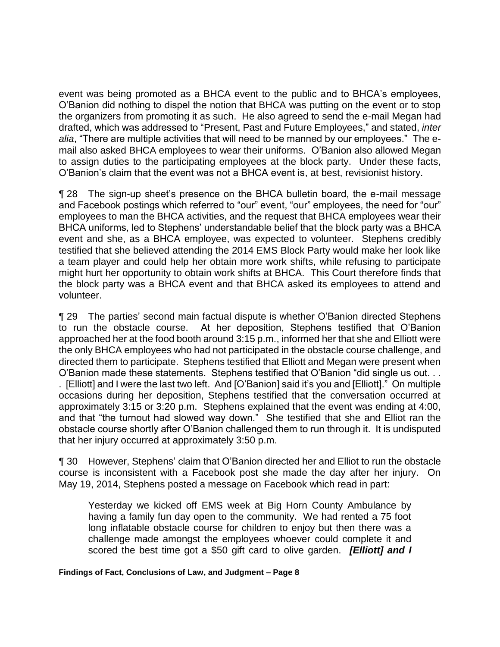event was being promoted as a BHCA event to the public and to BHCA's employees, O'Banion did nothing to dispel the notion that BHCA was putting on the event or to stop the organizers from promoting it as such. He also agreed to send the e-mail Megan had drafted, which was addressed to "Present, Past and Future Employees," and stated, *inter alia*, "There are multiple activities that will need to be manned by our employees." The email also asked BHCA employees to wear their uniforms. O'Banion also allowed Megan to assign duties to the participating employees at the block party. Under these facts, O'Banion's claim that the event was not a BHCA event is, at best, revisionist history.

¶ 28 The sign-up sheet's presence on the BHCA bulletin board, the e-mail message and Facebook postings which referred to "our" event, "our" employees, the need for "our" employees to man the BHCA activities, and the request that BHCA employees wear their BHCA uniforms, led to Stephens' understandable belief that the block party was a BHCA event and she, as a BHCA employee, was expected to volunteer. Stephens credibly testified that she believed attending the 2014 EMS Block Party would make her look like a team player and could help her obtain more work shifts, while refusing to participate might hurt her opportunity to obtain work shifts at BHCA. This Court therefore finds that the block party was a BHCA event and that BHCA asked its employees to attend and volunteer.

¶ 29 The parties' second main factual dispute is whether O'Banion directed Stephens to run the obstacle course. At her deposition, Stephens testified that O'Banion approached her at the food booth around 3:15 p.m., informed her that she and Elliott were the only BHCA employees who had not participated in the obstacle course challenge, and directed them to participate. Stephens testified that Elliott and Megan were present when O'Banion made these statements. Stephens testified that O'Banion "did single us out. . . . [Elliott] and I were the last two left. And [O'Banion] said it's you and [Elliott]." On multiple occasions during her deposition, Stephens testified that the conversation occurred at approximately 3:15 or 3:20 p.m. Stephens explained that the event was ending at 4:00, and that "the turnout had slowed way down." She testified that she and Elliot ran the obstacle course shortly after O'Banion challenged them to run through it. It is undisputed that her injury occurred at approximately 3:50 p.m.

¶ 30 However, Stephens' claim that O'Banion directed her and Elliot to run the obstacle course is inconsistent with a Facebook post she made the day after her injury. On May 19, 2014, Stephens posted a message on Facebook which read in part:

Yesterday we kicked off EMS week at Big Horn County Ambulance by having a family fun day open to the community. We had rented a 75 foot long inflatable obstacle course for children to enjoy but then there was a challenge made amongst the employees whoever could complete it and scored the best time got a \$50 gift card to olive garden. *[Elliott] and I*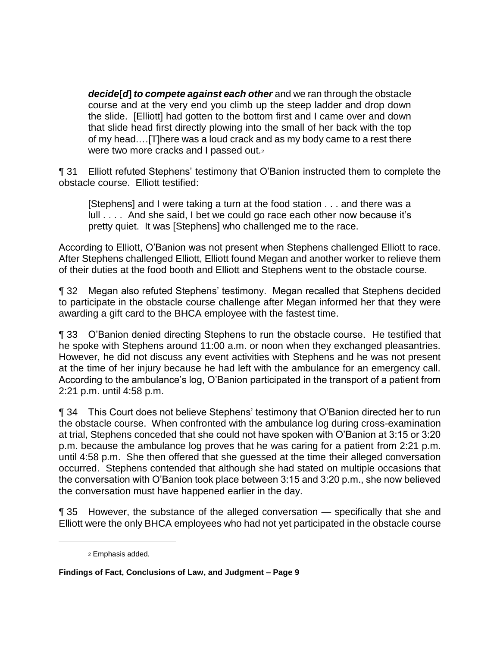*decide***[***d***]** *to compete against each other* and we ran through the obstacle course and at the very end you climb up the steep ladder and drop down the slide. [Elliott] had gotten to the bottom first and I came over and down that slide head first directly plowing into the small of her back with the top of my head.…[T]here was a loud crack and as my body came to a rest there were two more cracks and I passed out.<sub>2</sub>

¶ 31 Elliott refuted Stephens' testimony that O'Banion instructed them to complete the obstacle course. Elliott testified:

[Stephens] and I were taking a turn at the food station . . . and there was a lull . . . . And she said, I bet we could go race each other now because it's pretty quiet. It was [Stephens] who challenged me to the race.

According to Elliott, O'Banion was not present when Stephens challenged Elliott to race. After Stephens challenged Elliott, Elliott found Megan and another worker to relieve them of their duties at the food booth and Elliott and Stephens went to the obstacle course.

¶ 32 Megan also refuted Stephens' testimony. Megan recalled that Stephens decided to participate in the obstacle course challenge after Megan informed her that they were awarding a gift card to the BHCA employee with the fastest time.

¶ 33 O'Banion denied directing Stephens to run the obstacle course. He testified that he spoke with Stephens around 11:00 a.m. or noon when they exchanged pleasantries. However, he did not discuss any event activities with Stephens and he was not present at the time of her injury because he had left with the ambulance for an emergency call. According to the ambulance's log, O'Banion participated in the transport of a patient from 2:21 p.m. until 4:58 p.m.

¶ 34 This Court does not believe Stephens' testimony that O'Banion directed her to run the obstacle course. When confronted with the ambulance log during cross-examination at trial, Stephens conceded that she could not have spoken with O'Banion at 3:15 or 3:20 p.m. because the ambulance log proves that he was caring for a patient from 2:21 p.m. until 4:58 p.m. She then offered that she guessed at the time their alleged conversation occurred. Stephens contended that although she had stated on multiple occasions that the conversation with O'Banion took place between 3:15 and 3:20 p.m., she now believed the conversation must have happened earlier in the day.

¶ 35 However, the substance of the alleged conversation — specifically that she and Elliott were the only BHCA employees who had not yet participated in the obstacle course

 $\overline{a}$ 

<sup>2</sup> Emphasis added.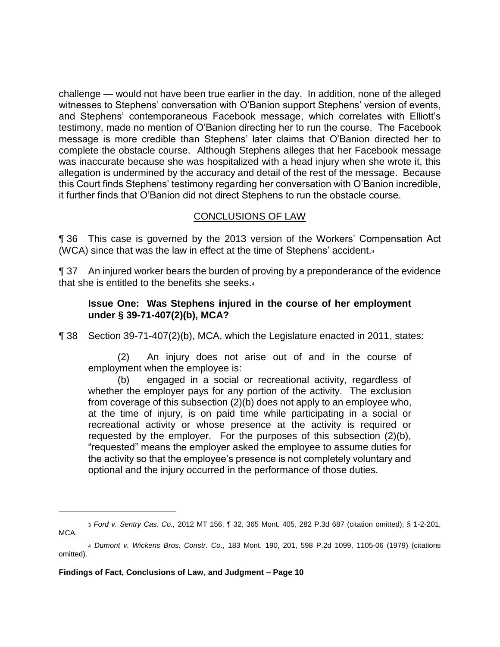challenge — would not have been true earlier in the day. In addition, none of the alleged witnesses to Stephens' conversation with O'Banion support Stephens' version of events, and Stephens' contemporaneous Facebook message, which correlates with Elliott's testimony, made no mention of O'Banion directing her to run the course. The Facebook message is more credible than Stephens' later claims that O'Banion directed her to complete the obstacle course. Although Stephens alleges that her Facebook message was inaccurate because she was hospitalized with a head injury when she wrote it, this allegation is undermined by the accuracy and detail of the rest of the message. Because this Court finds Stephens' testimony regarding her conversation with O'Banion incredible, it further finds that O'Banion did not direct Stephens to run the obstacle course.

## CONCLUSIONS OF LAW

¶ 36 This case is governed by the 2013 version of the Workers' Compensation Act (WCA) since that was the law in effect at the time of Stephens' accident.<sup>3</sup>

¶ 37 An injured worker bears the burden of proving by a preponderance of the evidence that she is entitled to the benefits she seeks.<sup>4</sup>

## **Issue One: Was Stephens injured in the course of her employment under § 39-71-407(2)(b), MCA?**

¶ 38 Section 39-71-407(2)(b), MCA, which the Legislature enacted in 2011, states:

(2) An injury does not arise out of and in the course of employment when the employee is:

(b) engaged in a social or recreational activity, regardless of whether the employer pays for any portion of the activity. The exclusion from coverage of this subsection (2)(b) does not apply to an employee who, at the time of injury, is on paid time while participating in a social or recreational activity or whose presence at the activity is required or requested by the employer. For the purposes of this subsection (2)(b), "requested" means the employer asked the employee to assume duties for the activity so that the employee's presence is not completely voluntary and optional and the injury occurred in the performance of those duties.

<sup>3</sup> *Ford v. Sentry Cas. Co.,* 2012 MT 156, ¶ 32, 365 Mont. 405, 282 P.3d 687 (citation omitted); § 1-2-201, MCA.

<sup>4</sup> *Dumont v. Wickens Bros. Constr. Co*., 183 Mont. 190, 201, 598 P.2d 1099, 1105-06 (1979) (citations omitted).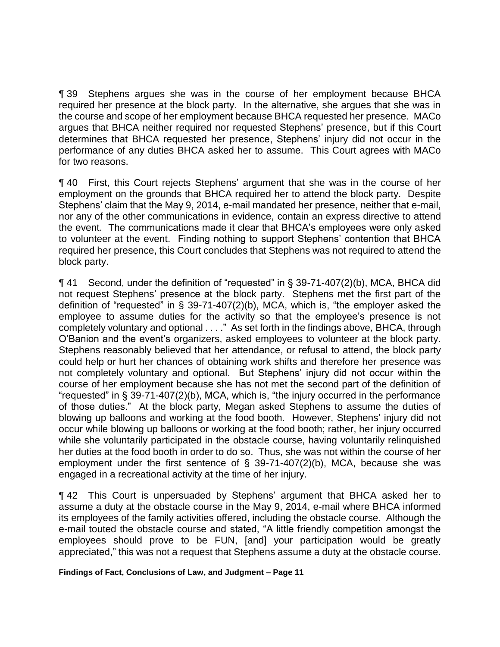¶ 39 Stephens argues she was in the course of her employment because BHCA required her presence at the block party. In the alternative, she argues that she was in the course and scope of her employment because BHCA requested her presence. MACo argues that BHCA neither required nor requested Stephens' presence, but if this Court determines that BHCA requested her presence, Stephens' injury did not occur in the performance of any duties BHCA asked her to assume. This Court agrees with MACo for two reasons.

¶ 40 First, this Court rejects Stephens' argument that she was in the course of her employment on the grounds that BHCA required her to attend the block party. Despite Stephens' claim that the May 9, 2014, e-mail mandated her presence, neither that e-mail, nor any of the other communications in evidence, contain an express directive to attend the event. The communications made it clear that BHCA's employees were only asked to volunteer at the event. Finding nothing to support Stephens' contention that BHCA required her presence, this Court concludes that Stephens was not required to attend the block party.

¶ 41 Second, under the definition of "requested" in § 39-71-407(2)(b), MCA, BHCA did not request Stephens' presence at the block party. Stephens met the first part of the definition of "requested" in § 39-71-407(2)(b), MCA, which is, "the employer asked the employee to assume duties for the activity so that the employee's presence is not completely voluntary and optional . . . ." As set forth in the findings above, BHCA, through O'Banion and the event's organizers, asked employees to volunteer at the block party. Stephens reasonably believed that her attendance, or refusal to attend, the block party could help or hurt her chances of obtaining work shifts and therefore her presence was not completely voluntary and optional. But Stephens' injury did not occur within the course of her employment because she has not met the second part of the definition of "requested" in § 39-71-407(2)(b), MCA, which is, "the injury occurred in the performance of those duties." At the block party, Megan asked Stephens to assume the duties of blowing up balloons and working at the food booth. However, Stephens' injury did not occur while blowing up balloons or working at the food booth; rather, her injury occurred while she voluntarily participated in the obstacle course, having voluntarily relinquished her duties at the food booth in order to do so. Thus, she was not within the course of her employment under the first sentence of  $\S$  39-71-407(2)(b), MCA, because she was engaged in a recreational activity at the time of her injury.

¶ 42 This Court is unpersuaded by Stephens' argument that BHCA asked her to assume a duty at the obstacle course in the May 9, 2014, e-mail where BHCA informed its employees of the family activities offered, including the obstacle course. Although the e-mail touted the obstacle course and stated, "A little friendly competition amongst the employees should prove to be FUN, [and] your participation would be greatly appreciated," this was not a request that Stephens assume a duty at the obstacle course.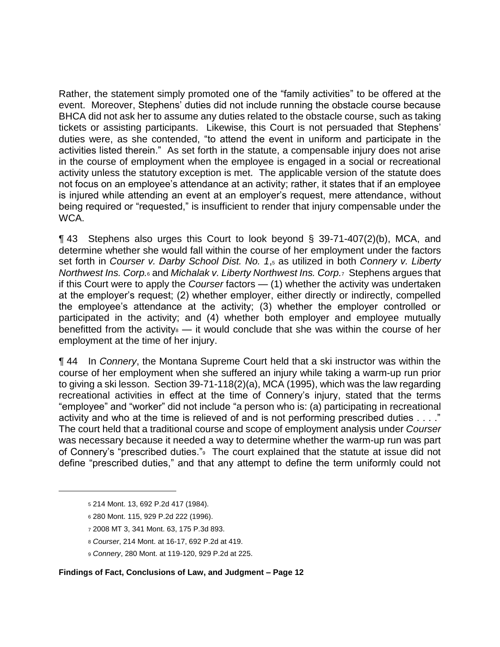Rather, the statement simply promoted one of the "family activities" to be offered at the event. Moreover, Stephens' duties did not include running the obstacle course because BHCA did not ask her to assume any duties related to the obstacle course, such as taking tickets or assisting participants. Likewise, this Court is not persuaded that Stephens' duties were, as she contended, "to attend the event in uniform and participate in the activities listed therein." As set forth in the statute, a compensable injury does not arise in the course of employment when the employee is engaged in a social or recreational activity unless the statutory exception is met. The applicable version of the statute does not focus on an employee's attendance at an activity; rather, it states that if an employee is injured while attending an event at an employer's request, mere attendance, without being required or "requested," is insufficient to render that injury compensable under the WCA.

¶ 43 Stephens also urges this Court to look beyond § 39-71-407(2)(b), MCA, and determine whether she would fall within the course of her employment under the factors set forth in *Courser v. Darby School Dist. No. 1*,<sup>5</sup> as utilized in both *Connery v. Liberty Northwest Ins. Corp.*<sup>6</sup> and *Michalak v. Liberty Northwest Ins. Corp.*7 Stephens argues that if this Court were to apply the *Courser* factors — (1) whether the activity was undertaken at the employer's request; (2) whether employer, either directly or indirectly, compelled the employee's attendance at the activity; (3) whether the employer controlled or participated in the activity; and (4) whether both employer and employee mutually benefitted from the activity $\delta$  — it would conclude that she was within the course of her employment at the time of her injury.

¶ 44 In *Connery*, the Montana Supreme Court held that a ski instructor was within the course of her employment when she suffered an injury while taking a warm-up run prior to giving a ski lesson. Section 39-71-118(2)(a), MCA (1995), which was the law regarding recreational activities in effect at the time of Connery's injury, stated that the terms "employee" and "worker" did not include "a person who is: (a) participating in recreational activity and who at the time is relieved of and is not performing prescribed duties . . . ." The court held that a traditional course and scope of employment analysis under *Courser* was necessary because it needed a way to determine whether the warm-up run was part of Connery's "prescribed duties."9 The court explained that the statute at issue did not define "prescribed duties," and that any attempt to define the term uniformly could not

 $\overline{a}$ 

- <sup>7</sup> 2008 MT 3, 341 Mont. 63, 175 P.3d 893.
- <sup>8</sup> *Courser*, 214 Mont. at 16-17, 692 P.2d at 419.
- <sup>9</sup> *Connery*, 280 Mont. at 119-120, 929 P.2d at 225.

<sup>5</sup> 214 Mont. 13, 692 P.2d 417 (1984).

<sup>6</sup> 280 Mont. 115, 929 P.2d 222 (1996).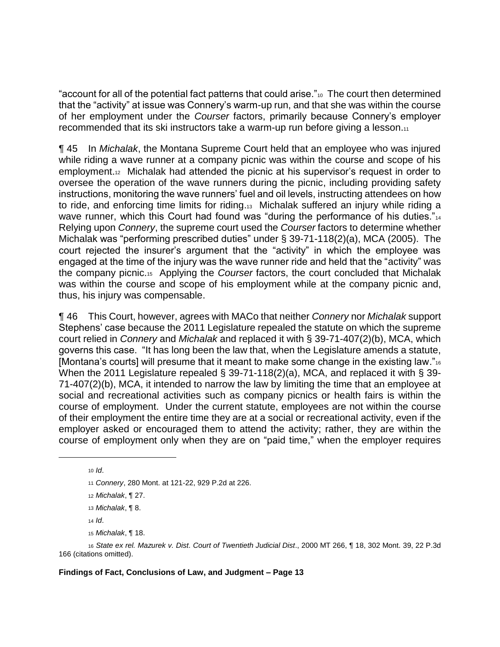"account for all of the potential fact patterns that could arise."<sup>10</sup> The court then determined that the "activity" at issue was Connery's warm-up run, and that she was within the course of her employment under the *Courser* factors, primarily because Connery's employer recommended that its ski instructors take a warm-up run before giving a lesson.11

¶ 45 In *Michalak*, the Montana Supreme Court held that an employee who was injured while riding a wave runner at a company picnic was within the course and scope of his employment.<sup>12</sup> Michalak had attended the picnic at his supervisor's request in order to oversee the operation of the wave runners during the picnic, including providing safety instructions, monitoring the wave runners' fuel and oil levels, instructing attendees on how to ride, and enforcing time limits for riding.13 Michalak suffered an injury while riding a wave runner, which this Court had found was "during the performance of his duties."<sup>14</sup> Relying upon *Connery*, the supreme court used the *Courser* factors to determine whether Michalak was "performing prescribed duties" under § 39-71-118(2)(a), MCA (2005). The court rejected the insurer's argument that the "activity" in which the employee was engaged at the time of the injury was the wave runner ride and held that the "activity" was the company picnic.<sup>15</sup> Applying the *Courser* factors, the court concluded that Michalak was within the course and scope of his employment while at the company picnic and, thus, his injury was compensable.

¶ 46 This Court, however, agrees with MACo that neither *Connery* nor *Michalak* support Stephens' case because the 2011 Legislature repealed the statute on which the supreme court relied in *Connery* and *Michalak* and replaced it with § 39-71-407(2)(b), MCA, which governs this case. "It has long been the law that, when the Legislature amends a statute, [Montana's courts] will presume that it meant to make some change in the existing law."<sup>16</sup> When the 2011 Legislature repealed § 39-71-118(2)(a), MCA, and replaced it with § 39- 71-407(2)(b), MCA, it intended to narrow the law by limiting the time that an employee at social and recreational activities such as company picnics or health fairs is within the course of employment. Under the current statute, employees are not within the course of their employment the entire time they are at a social or recreational activity, even if the employer asked or encouraged them to attend the activity; rather, they are within the course of employment only when they are on "paid time," when the employer requires

 $\overline{a}$ 

<sup>13</sup> *Michalak*, ¶ 8.

<sup>14</sup> *Id*.

<sup>15</sup> *Michalak*, ¶ 18.

<sup>16</sup> *State ex rel. Mazurek v. Dist. Court of Twentieth Judicial Dist*., 2000 MT 266, ¶ 18, 302 Mont. 39, 22 P.3d 166 (citations omitted).

<sup>10</sup> *Id*.

<sup>11</sup> *Connery*, 280 Mont. at 121-22, 929 P.2d at 226.

<sup>12</sup> *Michalak*, ¶ 27.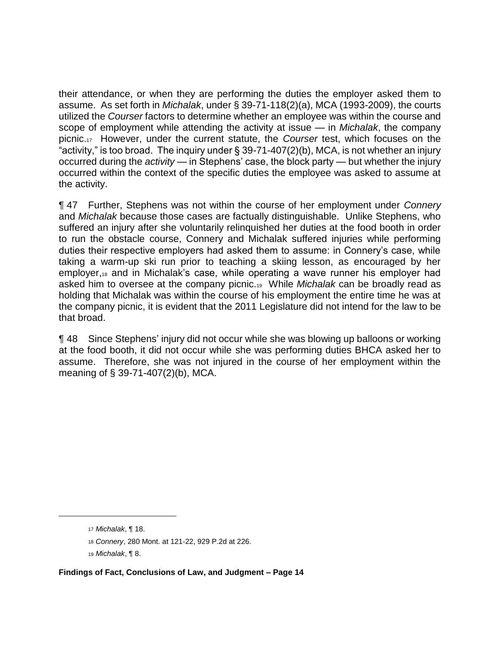their attendance, or when they are performing the duties the employer asked them to assume. As set forth in *Michalak*, under § 39-71-118(2)(a), MCA (1993-2009), the courts utilized the *Courser* factors to determine whether an employee was within the course and scope of employment while attending the activity at issue — in *Michalak*, the company picnic.17 However, under the current statute, the *Courser* test, which focuses on the "activity," is too broad. The inquiry under  $\S 39-71-407(2)(b)$ , MCA, is not whether an injury occurred during the *activity* — in Stephens' case, the block party — but whether the injury occurred within the context of the specific duties the employee was asked to assume at the activity.

¶ 47 Further, Stephens was not within the course of her employment under *Connery* and *Michalak* because those cases are factually distinguishable. Unlike Stephens, who suffered an injury after she voluntarily relinquished her duties at the food booth in order to run the obstacle course, Connery and Michalak suffered injuries while performing duties their respective employers had asked them to assume: in Connery's case, while taking a warm-up ski run prior to teaching a skiing lesson, as encouraged by her employer,<sup>18</sup> and in Michalak's case, while operating a wave runner his employer had asked him to oversee at the company picnic.19 While *Michalak* can be broadly read as holding that Michalak was within the course of his employment the entire time he was at the company picnic, it is evident that the 2011 Legislature did not intend for the law to be that broad.

¶ 48 Since Stephens' injury did not occur while she was blowing up balloons or working at the food booth, it did not occur while she was performing duties BHCA asked her to assume. Therefore, she was not injured in the course of her employment within the meaning of § 39-71-407(2)(b), MCA.

<sup>17</sup> *Michalak*, ¶ 18.

<sup>18</sup> *Connery*, 280 Mont. at 121-22, 929 P.2d at 226.

<sup>19</sup> *Michalak*, ¶ 8.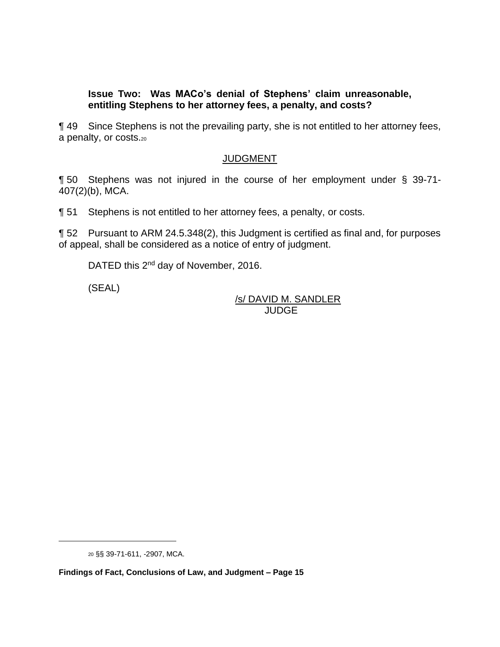#### **Issue Two: Was MACo's denial of Stephens' claim unreasonable, entitling Stephens to her attorney fees, a penalty, and costs?**

¶ 49 Since Stephens is not the prevailing party, she is not entitled to her attorney fees, a penalty, or costs.<sup>20</sup>

# **JUDGMENT**

¶ 50 Stephens was not injured in the course of her employment under § 39-71- 407(2)(b), MCA.

¶ 51 Stephens is not entitled to her attorney fees, a penalty, or costs.

¶ 52 Pursuant to ARM 24.5.348(2), this Judgment is certified as final and, for purposes of appeal, shall be considered as a notice of entry of judgment.

DATED this 2<sup>nd</sup> day of November, 2016.

(SEAL)

/s/ DAVID M. SANDLER JUDGE

<sup>20</sup> §§ 39-71-611, -2907, MCA.

**Findings of Fact, Conclusions of Law, and Judgment – Page 15**